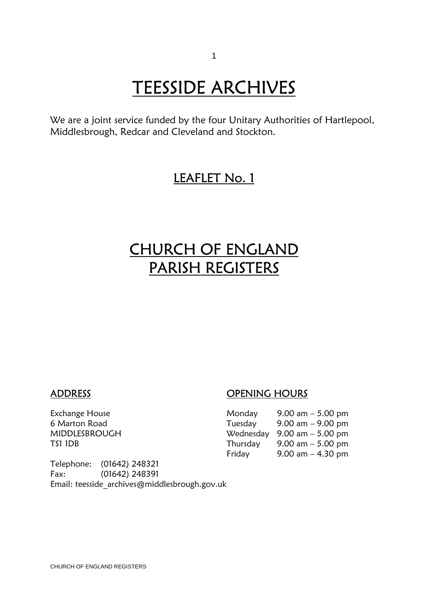# **TEESSIDE ARCHIVES**<br>We are a joint service funded by the four Unitary Authorities of Hartlepool,

Middlesbrough, Redcar and Cleveland and Stockton.

## LEAFLET No. 1

## CHURCH OF ENGLAND PARISH REGISTERS

### ADDRESS OPENING HOURS

| Exchange House | Monday   | 9.00 am $-$ 5.00 pm                           |
|----------------|----------|-----------------------------------------------|
| 6 Marton Road  | Tuesday  | $9.00 \text{ am} - 9.00 \text{ pm}$           |
| MIDDLESBROUGH  |          | Wednesday $9.00 \text{ am} - 5.00 \text{ pm}$ |
| TS1 1DB        | Thursday | 9.00 am $-$ 5.00 pm                           |
|                | Friday   | 9.00 am $-$ 4.30 pm                           |

Telephone: (01642) 248321 Fax: (01642) 248391 Email: teesside\_archives@middlesbrough.gov.uk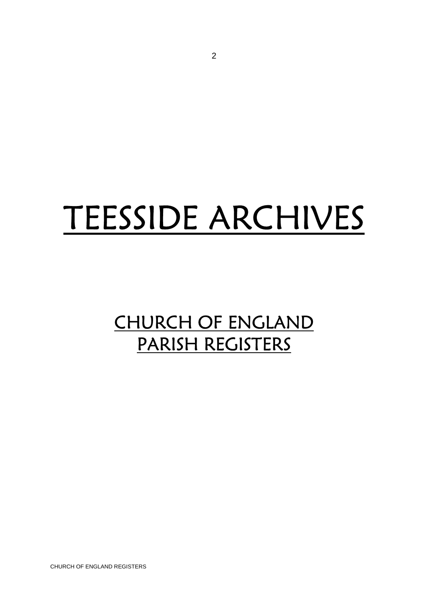## TEESSIDE ARCHIVES

## CHURCH OF ENGLAND PARISH REGISTERS

CHURCH OF ENGLAND REGISTERS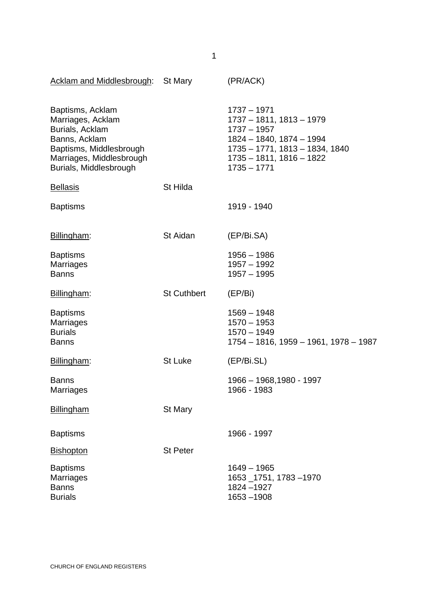| Acklam and Middlesbrough: St Mary                                                                                                                          |                    | (PR/ACK)                                                                                                                                                                |
|------------------------------------------------------------------------------------------------------------------------------------------------------------|--------------------|-------------------------------------------------------------------------------------------------------------------------------------------------------------------------|
| Baptisms, Acklam<br>Marriages, Acklam<br>Burials, Acklam<br>Banns, Acklam<br>Baptisms, Middlesbrough<br>Marriages, Middlesbrough<br>Burials, Middlesbrough |                    | $1737 - 1971$<br>1737 - 1811, 1813 - 1979<br>$1737 - 1957$<br>1824 - 1840, 1874 - 1994<br>1735 - 1771, 1813 - 1834, 1840<br>$1735 - 1811, 1816 - 1822$<br>$1735 - 1771$ |
| <b>Bellasis</b>                                                                                                                                            | St Hilda           |                                                                                                                                                                         |
| <b>Baptisms</b>                                                                                                                                            |                    | 1919 - 1940                                                                                                                                                             |
| Billingham:                                                                                                                                                | St Aidan           | (EP/Bi.SA)                                                                                                                                                              |
| <b>Baptisms</b><br><b>Marriages</b><br><b>Banns</b>                                                                                                        |                    | $1956 - 1986$<br>$1957 - 1992$<br>$1957 - 1995$                                                                                                                         |
| Billingham:                                                                                                                                                | <b>St Cuthbert</b> | (EP/Bi)                                                                                                                                                                 |
| <b>Baptisms</b><br><b>Marriages</b><br><b>Burials</b><br><b>Banns</b>                                                                                      |                    | $1569 - 1948$<br>$1570 - 1953$<br>$1570 - 1949$<br>1754 - 1816, 1959 - 1961, 1978 - 1987                                                                                |
| Billingham:                                                                                                                                                | St Luke            | (EP/Bi.SL)                                                                                                                                                              |
| <b>Banns</b><br>Marriages                                                                                                                                  |                    | 1966 - 1968,1980 - 1997<br>1966 - 1983                                                                                                                                  |
| <b>Billingham</b>                                                                                                                                          | <b>St Mary</b>     |                                                                                                                                                                         |
| <b>Baptisms</b>                                                                                                                                            |                    | 1966 - 1997                                                                                                                                                             |
| <b>Bishopton</b>                                                                                                                                           | <b>St Peter</b>    |                                                                                                                                                                         |
| <b>Baptisms</b><br><b>Marriages</b><br><b>Banns</b><br><b>Burials</b>                                                                                      |                    | $1649 - 1965$<br>1653 1751, 1783-1970<br>1824 - 1927<br>$1653 - 1908$                                                                                                   |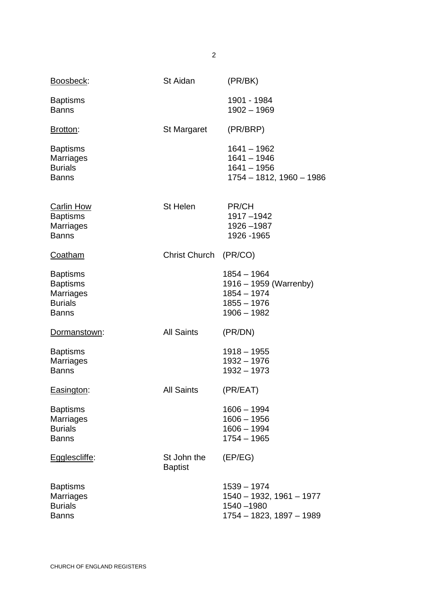| Boosbeck:                                                                                | St Aidan                      | (PR/BK)                                                                                |
|------------------------------------------------------------------------------------------|-------------------------------|----------------------------------------------------------------------------------------|
| <b>Baptisms</b><br><b>Banns</b>                                                          |                               | 1901 - 1984<br>$1902 - 1969$                                                           |
| Brotton:                                                                                 | St Margaret                   | (PR/BRP)                                                                               |
| <b>Baptisms</b><br><b>Marriages</b><br><b>Burials</b><br><b>Banns</b>                    |                               | $1641 - 1962$<br>$1641 - 1946$<br>$1641 - 1956$<br>1754 - 1812, 1960 - 1986            |
| <b>Carlin How</b><br><b>Baptisms</b><br>Marriages<br><b>Banns</b>                        | St Helen                      | PR/CH<br>1917-1942<br>1926-1987<br>1926 - 1965                                         |
| Coatham                                                                                  | <b>Christ Church</b>          | (PR/CO)                                                                                |
| <b>Baptisms</b><br><b>Baptisms</b><br><b>Marriages</b><br><b>Burials</b><br><b>Banns</b> |                               | 1854 - 1964<br>1916 – 1959 (Warrenby)<br>1854 - 1974<br>$1855 - 1976$<br>$1906 - 1982$ |
| Dormanstown:                                                                             | <b>All Saints</b>             | (PR/DN)                                                                                |
| <b>Baptisms</b><br>Marriages<br><b>Banns</b>                                             |                               | 1918 - 1955<br>1932 - 1976<br>1932 - 1973                                              |
| Easington:                                                                               | <b>All Saints</b>             | (PR/EAT)                                                                               |
| <b>Baptisms</b><br><b>Marriages</b><br><b>Burials</b><br><b>Banns</b>                    |                               | $1606 - 1994$<br>$1606 - 1956$<br>$1606 - 1994$<br>$1754 - 1965$                       |
| Egglescliffe:                                                                            | St John the<br><b>Baptist</b> | (EP/EG)                                                                                |
| <b>Baptisms</b><br>Marriages<br><b>Burials</b><br><b>Banns</b>                           |                               | 1539 - 1974<br>1540 - 1932, 1961 - 1977<br>1540 - 1980<br>1754 - 1823, 1897 - 1989     |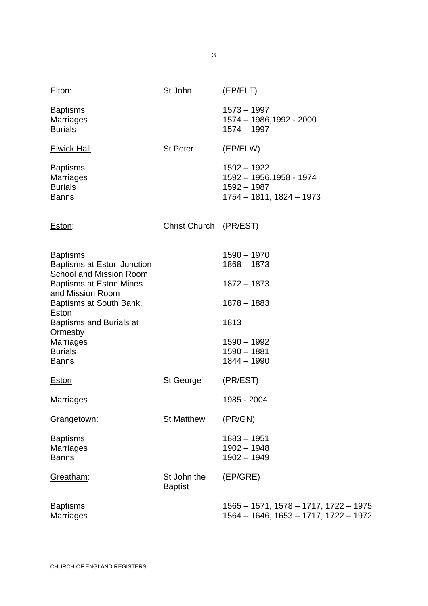| Elton:                                                                          | St John                       | (EP/ELT)                                                                                 |
|---------------------------------------------------------------------------------|-------------------------------|------------------------------------------------------------------------------------------|
| <b>Baptisms</b><br><b>Marriages</b><br><b>Burials</b>                           |                               | $1573 - 1997$<br>1574 - 1986,1992 - 2000<br>$1574 - 1997$                                |
| <b>Elwick Hall:</b>                                                             | <b>St Peter</b>               | (EP/ELW)                                                                                 |
| <b>Baptisms</b><br><b>Marriages</b><br><b>Burials</b><br><b>Banns</b>           |                               | $1592 - 1922$<br>1592 - 1956, 1958 - 1974<br>$1592 - 1987$<br>$1754 - 1811, 1824 - 1973$ |
| Eston:                                                                          | <b>Christ Church</b>          | (PR/EST)                                                                                 |
| <b>Baptisms</b><br>Baptisms at Eston Junction<br><b>School and Mission Room</b> |                               | $1590 - 1970$<br>$1868 - 1873$                                                           |
| <b>Baptisms at Eston Mines</b><br>and Mission Room                              |                               | $1872 - 1873$                                                                            |
| Baptisms at South Bank,<br>Eston                                                |                               | $1878 - 1883$                                                                            |
| Baptisms and Burials at                                                         |                               | 1813                                                                                     |
| Ormesby<br><b>Marriages</b><br><b>Burials</b><br><b>Banns</b>                   |                               | $1590 - 1992$<br>$1590 - 1881$<br>$1844 - 1990$                                          |
| <b>Eston</b>                                                                    | St George                     | (PR/EST)                                                                                 |
| <b>Marriages</b>                                                                |                               | 1985 - 2004                                                                              |
| Grangetown:                                                                     | <b>St Matthew</b>             | (PR/GN)                                                                                  |
| <b>Baptisms</b><br><b>Marriages</b><br><b>Banns</b>                             |                               | $1883 - 1951$<br>$1902 - 1948$<br>$1902 - 1949$                                          |
| Greatham:                                                                       | St John the<br><b>Baptist</b> | (EP/GRE)                                                                                 |
| <b>Baptisms</b><br><b>Marriages</b>                                             |                               | $1565 - 1571, 1578 - 1717, 1722 - 1975$<br>1564 - 1646, 1653 - 1717, 1722 - 1972         |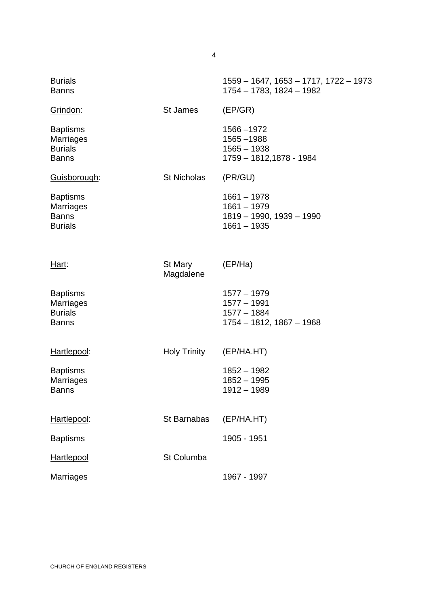| <b>Burials</b><br><b>Banns</b>                                        |                      | 1559 - 1647, 1653 - 1717, 1722 - 1973<br>1754 - 1783, 1824 - 1982             |
|-----------------------------------------------------------------------|----------------------|-------------------------------------------------------------------------------|
| Grindon:                                                              | St James             | (EP/GR)                                                                       |
| <b>Baptisms</b><br><b>Marriages</b><br><b>Burials</b><br><b>Banns</b> |                      | 1566 - 1972<br>1565 - 1988<br>$1565 - 1938$<br>1759 - 1812,1878 - 1984        |
| Guisborough:                                                          | <b>St Nicholas</b>   | (PR/GU)                                                                       |
| <b>Baptisms</b><br><b>Marriages</b><br><b>Banns</b><br><b>Burials</b> |                      | $1661 - 1978$<br>$1661 - 1979$<br>1819 - 1990, 1939 - 1990<br>$1661 - 1935$   |
| Hart:                                                                 | St Mary<br>Magdalene | (EP/Ha)                                                                       |
| <b>Baptisms</b><br><b>Marriages</b><br><b>Burials</b><br><b>Banns</b> |                      | $1577 - 1979$<br>$1577 - 1991$<br>$1577 - 1884$<br>$1754 - 1812, 1867 - 1968$ |
| Hartlepool:                                                           | <b>Holy Trinity</b>  | (EP/HA.HT)                                                                    |
| <b>Baptisms</b><br>Marriages<br><b>Banns</b>                          |                      | $1852 - 1982$<br>$1852 - 1995$<br>$1912 - 1989$                               |
| Hartlepool:                                                           | St Barnabas          | (EP/HA.HT)                                                                    |
| <b>Baptisms</b>                                                       |                      | 1905 - 1951                                                                   |
| Hartlepool                                                            | St Columba           |                                                                               |
| <b>Marriages</b>                                                      |                      | 1967 - 1997                                                                   |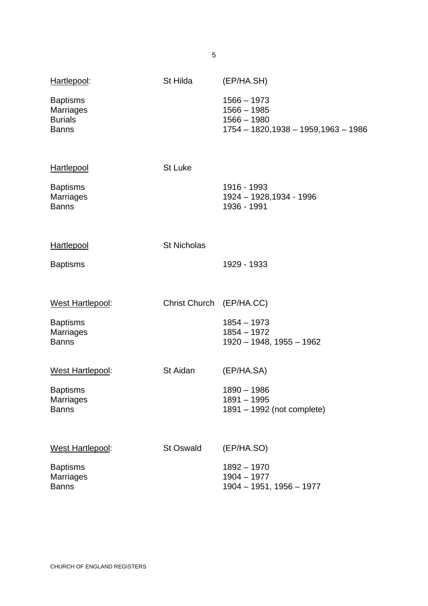| Hartlepool:                                                           | St Hilda                 | (EP/HA.SH)                                                                               |
|-----------------------------------------------------------------------|--------------------------|------------------------------------------------------------------------------------------|
| <b>Baptisms</b><br><b>Marriages</b><br><b>Burials</b><br><b>Banns</b> |                          | $1566 - 1973$<br>$1566 - 1985$<br>$1566 - 1980$<br>1754 - 1820, 1938 - 1959, 1963 - 1986 |
| <b>Hartlepool</b>                                                     | <b>St Luke</b>           |                                                                                          |
| <b>Baptisms</b><br><b>Marriages</b><br><b>Banns</b>                   |                          | 1916 - 1993<br>1924 - 1928, 1934 - 1996<br>1936 - 1991                                   |
| Hartlepool                                                            | <b>St Nicholas</b>       |                                                                                          |
| <b>Baptisms</b>                                                       |                          | 1929 - 1933                                                                              |
| West Hartlepool:                                                      | Christ Church (EP/HA.CC) |                                                                                          |
| <b>Baptisms</b><br><b>Marriages</b><br><b>Banns</b>                   |                          | $1854 - 1973$<br>$1854 - 1972$<br>1920 - 1948, 1955 - 1962                               |
| West Hartlepool:                                                      | St Aidan                 | (EP/HA.SA)                                                                               |
| <b>Baptisms</b><br><b>Marriages</b><br><b>Banns</b>                   |                          | 1890 - 1986<br>$1891 - 1995$<br>1891 – 1992 (not complete)                               |
| <b>West Hartlepool:</b>                                               | <b>St Oswald</b>         | (EP/HA.SO)                                                                               |
| <b>Baptisms</b><br><b>Marriages</b><br><b>Banns</b>                   |                          | 1892 - 1970<br>$1904 - 1977$<br>1904 - 1951, 1956 - 1977                                 |

CHURCH OF ENGLAND REGISTERS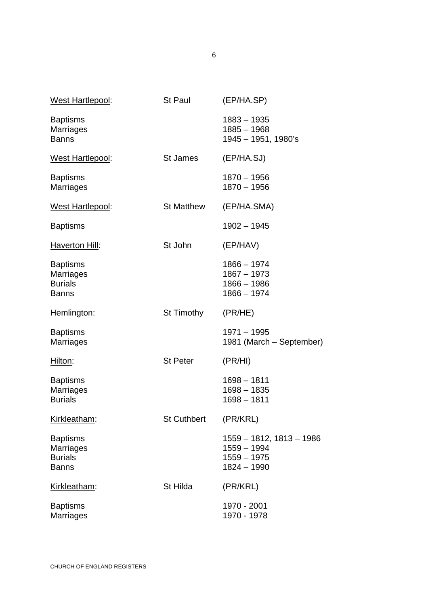| <b>West Hartlepool:</b>                                               | St Paul           | (EP/HA.SP)                                                                  |
|-----------------------------------------------------------------------|-------------------|-----------------------------------------------------------------------------|
| <b>Baptisms</b><br>Marriages<br><b>Banns</b>                          |                   | $1883 - 1935$<br>$1885 - 1968$<br>1945 - 1951, 1980's                       |
| West Hartlepool:                                                      | <b>St James</b>   | (EP/HA.SJ)                                                                  |
| <b>Baptisms</b><br><b>Marriages</b>                                   |                   | 1870 - 1956<br>$1870 - 1956$                                                |
| West Hartlepool:                                                      | <b>St Matthew</b> | (EP/HA.SMA)                                                                 |
| <b>Baptisms</b>                                                       |                   | $1902 - 1945$                                                               |
| <b>Haverton Hill:</b>                                                 | St John           | (EP/HAV)                                                                    |
| <b>Baptisms</b><br><b>Marriages</b><br><b>Burials</b><br><b>Banns</b> |                   | $1866 - 1974$<br>$1867 - 1973$<br>$1866 - 1986$<br>$1866 - 1974$            |
| Hemlington:                                                           | St Timothy        | (PR/HE)                                                                     |
| <b>Baptisms</b><br>Marriages                                          |                   | $1971 - 1995$<br>1981 (March – September)                                   |
| Hilton:                                                               | <b>St Peter</b>   | (PR/HI)                                                                     |
| <b>Baptisms</b><br><b>Marriages</b><br><b>Burials</b>                 |                   | $1698 - 1811$<br>$1698 - 1835$<br>$1698 - 1811$                             |
| Kirkleatham:                                                          | St Cuthbert       | (PR/KRL)                                                                    |
| <b>Baptisms</b><br><b>Marriages</b><br><b>Burials</b><br><b>Banns</b> |                   | 1559 - 1812, 1813 - 1986<br>$1559 - 1994$<br>$1559 - 1975$<br>$1824 - 1990$ |
| Kirkleatham:                                                          | St Hilda          | (PR/KRL)                                                                    |
| <b>Baptisms</b><br>Marriages                                          |                   | 1970 - 2001<br>1970 - 1978                                                  |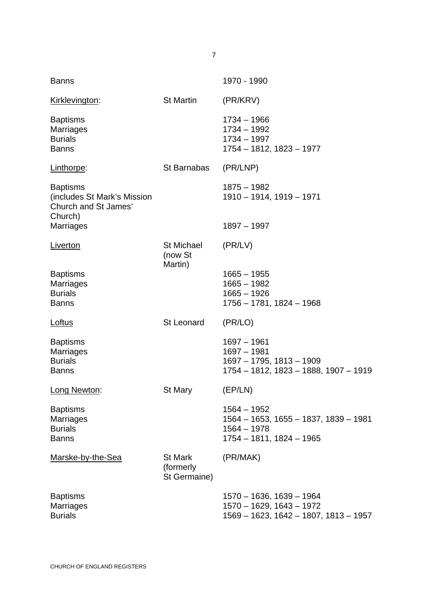| <b>Banns</b>                                                                      |                                             | 1970 - 1990                                                                                           |
|-----------------------------------------------------------------------------------|---------------------------------------------|-------------------------------------------------------------------------------------------------------|
| Kirklevington:                                                                    | St Martin                                   | (PR/KRV)                                                                                              |
| <b>Baptisms</b><br>Marriages<br><b>Burials</b><br><b>Banns</b>                    |                                             | $1734 - 1966$<br>$1734 - 1992$<br>$1734 - 1997$<br>1754 - 1812, 1823 - 1977                           |
| Linthorpe:                                                                        | St Barnabas                                 | (PR/LNP)                                                                                              |
| <b>Baptisms</b><br>(includes St Mark's Mission<br>Church and St James'<br>Church) |                                             | $1875 - 1982$<br>1910 - 1914, 1919 - 1971                                                             |
| <b>Marriages</b>                                                                  |                                             | $1897 - 1997$                                                                                         |
| <b>Liverton</b>                                                                   | <b>St Michael</b><br>(now St<br>Martin)     | (PR/LV)                                                                                               |
| <b>Baptisms</b><br><b>Marriages</b><br><b>Burials</b><br><b>Banns</b>             |                                             | $1665 - 1955$<br>$1665 - 1982$<br>$1665 - 1926$<br>1756 - 1781, 1824 - 1968                           |
| Loftus                                                                            | St Leonard                                  | (PR/LO)                                                                                               |
| <b>Baptisms</b><br><b>Marriages</b><br><b>Burials</b><br><b>Banns</b>             |                                             | $1697 - 1961$<br>$1697 - 1981$<br>1697 - 1795, 1813 - 1909<br>1754 - 1812, 1823 - 1888, 1907 - 1919   |
| Long Newton:                                                                      | <b>St Mary</b>                              | (EP/LN)                                                                                               |
| <b>Baptisms</b><br><b>Marriages</b><br><b>Burials</b><br><b>Banns</b>             |                                             | $1564 - 1952$<br>1564 - 1653, 1655 - 1837, 1839 - 1981<br>$1564 - 1978$<br>$1754 - 1811, 1824 - 1965$ |
| Marske-by-the-Sea                                                                 | <b>St Mark</b><br>(formerly<br>St Germaine) | (PR/MAK)                                                                                              |
| <b>Baptisms</b><br><b>Marriages</b><br><b>Burials</b>                             |                                             | $1570 - 1636, 1639 - 1964$<br>$1570 - 1629, 1643 - 1972$<br>1569 - 1623, 1642 - 1807, 1813 - 1957     |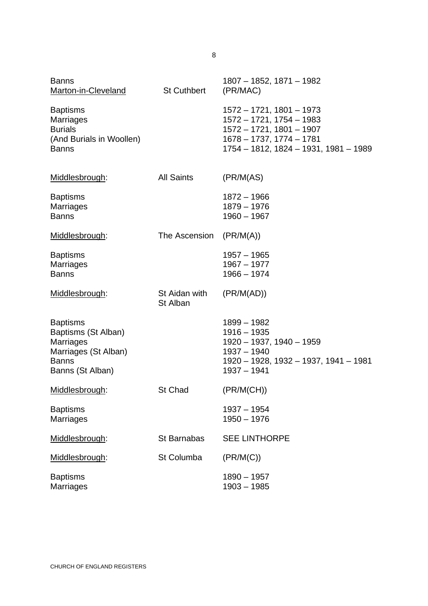| <b>Banns</b><br>Marton-in-Cleveland                                                                                    | <b>St Cuthbert</b>        | 1807 - 1852, 1871 - 1982<br>(PR/MAC)                                                                                                                             |
|------------------------------------------------------------------------------------------------------------------------|---------------------------|------------------------------------------------------------------------------------------------------------------------------------------------------------------|
| <b>Baptisms</b><br>Marriages<br><b>Burials</b><br>(And Burials in Woollen)<br><b>Banns</b>                             |                           | $1572 - 1721$ , $1801 - 1973$<br>$1572 - 1721, 1754 - 1983$<br>$1572 - 1721, 1801 - 1907$<br>$1678 - 1737, 1774 - 1781$<br>1754 - 1812, 1824 - 1931, 1981 - 1989 |
| Middlesbrough:                                                                                                         | <b>All Saints</b>         | (PR/M(AS))                                                                                                                                                       |
| <b>Baptisms</b><br><b>Marriages</b><br><b>Banns</b>                                                                    |                           | $1872 - 1966$<br>$1879 - 1976$<br>$1960 - 1967$                                                                                                                  |
| Middlesbrough:                                                                                                         | The Ascension             | (PR/M(A))                                                                                                                                                        |
| <b>Baptisms</b><br><b>Marriages</b><br><b>Banns</b>                                                                    |                           | $1957 - 1965$<br>$1967 - 1977$<br>$1966 - 1974$                                                                                                                  |
| Middlesbrough:                                                                                                         | St Aidan with<br>St Alban | (PR/M(AD))                                                                                                                                                       |
| <b>Baptisms</b><br>Baptisms (St Alban)<br><b>Marriages</b><br>Marriages (St Alban)<br><b>Banns</b><br>Banns (St Alban) |                           | $1899 - 1982$<br>$1916 - 1935$<br>$1920 - 1937, 1940 - 1959$<br>$1937 - 1940$<br>1920 - 1928, 1932 - 1937, 1941 - 1981<br>$1937 - 1941$                          |
| Middlesbrough:                                                                                                         | <b>St Chad</b>            | (PR/M(CH))                                                                                                                                                       |
| <b>Baptisms</b><br>Marriages                                                                                           |                           | $1937 - 1954$<br>$1950 - 1976$                                                                                                                                   |
| Middlesbrough:                                                                                                         | St Barnabas               | <b>SEE LINTHORPE</b>                                                                                                                                             |
| Middlesbrough:                                                                                                         | St Columba                | (PR/M(C))                                                                                                                                                        |
|                                                                                                                        |                           |                                                                                                                                                                  |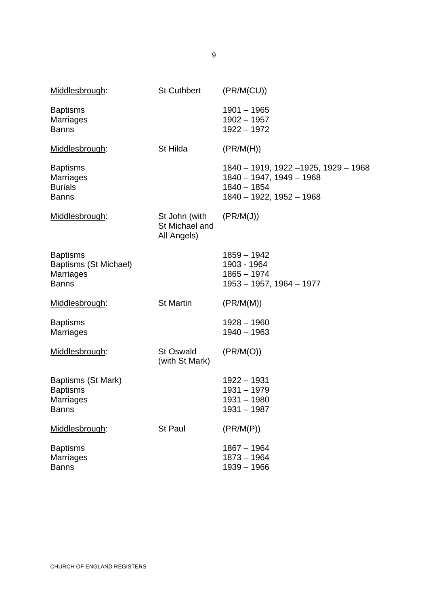| Middlesbrough:                                                               | <b>St Cuthbert</b>                             | (PR/M(CU))                                                                                                         |
|------------------------------------------------------------------------------|------------------------------------------------|--------------------------------------------------------------------------------------------------------------------|
| <b>Baptisms</b><br><b>Marriages</b><br><b>Banns</b>                          |                                                | $1901 - 1965$<br>$1902 - 1957$<br>$1922 - 1972$                                                                    |
| Middlesbrough:                                                               | St Hilda                                       | (PR/M(H))                                                                                                          |
| <b>Baptisms</b><br>Marriages<br><b>Burials</b><br><b>Banns</b>               |                                                | 1840 - 1919, 1922 - 1925, 1929 - 1968<br>$1840 - 1947, 1949 - 1968$<br>$1840 - 1854$<br>$1840 - 1922, 1952 - 1968$ |
| Middlesbrough:                                                               | St John (with<br>St Michael and<br>All Angels) | (PR/M(J))                                                                                                          |
| <b>Baptisms</b><br>Baptisms (St Michael)<br><b>Marriages</b><br><b>Banns</b> |                                                | $1859 - 1942$<br>1903 - 1964<br>$1865 - 1974$<br>1953 - 1957, 1964 - 1977                                          |
| Middlesbrough:                                                               | <b>St Martin</b>                               | (PR/M(M))                                                                                                          |
| <b>Baptisms</b><br><b>Marriages</b>                                          |                                                | $1928 - 1960$<br>$1940 - 1963$                                                                                     |
| Middlesbrough:                                                               | <b>St Oswald</b><br>(with St Mark)             | (PR/M(O))                                                                                                          |
| Baptisms (St Mark)<br><b>Baptisms</b><br><b>Marriages</b><br><b>Banns</b>    |                                                | $1922 - 1931$<br>$1931 - 1979$<br>$1931 - 1980$<br>$1931 - 1987$                                                   |
| Middlesbrough:                                                               | <b>St Paul</b>                                 | (PR/M(P))                                                                                                          |
| <b>Baptisms</b><br><b>Marriages</b><br><b>Banns</b>                          |                                                | $1867 - 1964$<br>$1873 - 1964$<br>$1939 - 1966$                                                                    |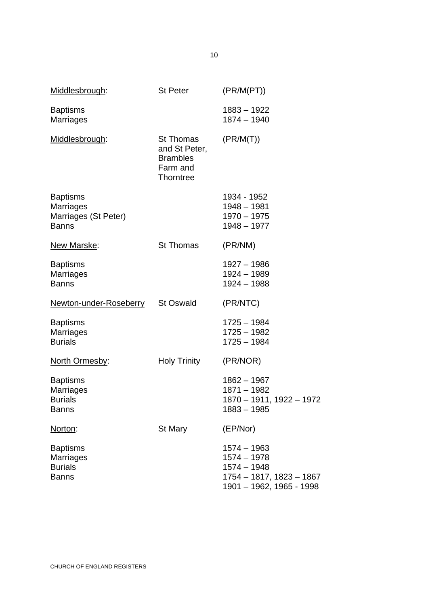| Middlesbrough:                                                              | <b>St Peter</b>                                                               | (PR/M(PT))                                                                                              |
|-----------------------------------------------------------------------------|-------------------------------------------------------------------------------|---------------------------------------------------------------------------------------------------------|
| <b>Baptisms</b><br><b>Marriages</b>                                         |                                                                               | $1883 - 1922$<br>$1874 - 1940$                                                                          |
| Middlesbrough:                                                              | <b>St Thomas</b><br>and St Peter,<br><b>Brambles</b><br>Farm and<br>Thorntree | (PR/M(T))                                                                                               |
| <b>Baptisms</b><br><b>Marriages</b><br>Marriages (St Peter)<br><b>Banns</b> |                                                                               | 1934 - 1952<br>$1948 - 1981$<br>$1970 - 1975$<br>$1948 - 1977$                                          |
| New Marske:                                                                 | <b>St Thomas</b>                                                              | (PR/NM)                                                                                                 |
| <b>Baptisms</b><br><b>Marriages</b><br><b>Banns</b>                         |                                                                               | $1927 - 1986$<br>$1924 - 1989$<br>$1924 - 1988$                                                         |
| Newton-under-Roseberry                                                      | <b>St Oswald</b>                                                              | (PR/NTC)                                                                                                |
| <b>Baptisms</b><br>Marriages<br><b>Burials</b>                              |                                                                               | 1725 - 1984<br>$1725 - 1982$<br>$1725 - 1984$                                                           |
| North Ormesby:                                                              | <b>Holy Trinity</b>                                                           | (PR/NOR)                                                                                                |
| <b>Baptisms</b><br>Marriages<br><b>Burials</b><br><b>Banns</b>              |                                                                               | $1862 - 1967$<br>$1871 - 1982$<br>1870 - 1911, 1922 - 1972<br>1883 – 1985                               |
| Norton:                                                                     | St Mary                                                                       | (EP/Nor)                                                                                                |
| <b>Baptisms</b><br><b>Marriages</b><br><b>Burials</b><br><b>Banns</b>       |                                                                               | $1574 - 1963$<br>$1574 - 1978$<br>$1574 - 1948$<br>1754 - 1817, 1823 - 1867<br>1901 - 1962, 1965 - 1998 |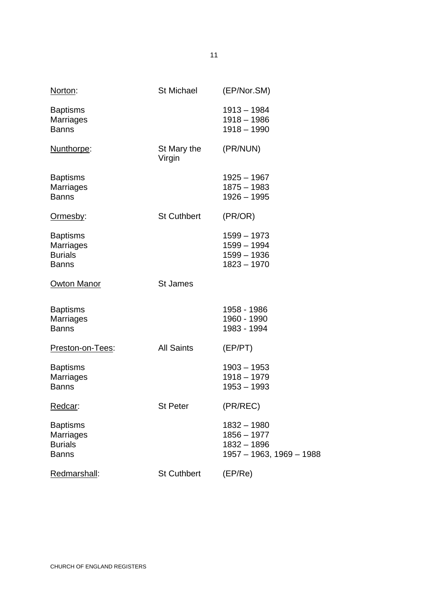| Norton:                                                               | <b>St Michael</b>     | (EP/Nor.SM)                                                               |
|-----------------------------------------------------------------------|-----------------------|---------------------------------------------------------------------------|
| <b>Baptisms</b><br><b>Marriages</b><br><b>Banns</b>                   |                       | $1913 - 1984$<br>1918 - 1986<br>$1918 - 1990$                             |
| Nunthorpe:                                                            | St Mary the<br>Virgin | (PR/NUN)                                                                  |
| <b>Baptisms</b><br>Marriages<br><b>Banns</b>                          |                       | 1925 - 1967<br>$1875 - 1983$<br>1926 - 1995                               |
| <u>Ormesby:</u>                                                       | <b>St Cuthbert</b>    | (PR/OR)                                                                   |
| <b>Baptisms</b><br><b>Marriages</b><br><b>Burials</b><br><b>Banns</b> |                       | 1599 - 1973<br>1599 - 1994<br>$1599 - 1936$<br>$1823 - 1970$              |
| <b>Owton Manor</b>                                                    | <b>St James</b>       |                                                                           |
| <b>Baptisms</b><br><b>Marriages</b><br><b>Banns</b>                   |                       | 1958 - 1986<br>1960 - 1990<br>1983 - 1994                                 |
| Preston-on-Tees:                                                      | <b>All Saints</b>     | (EP/PT)                                                                   |
| <b>Baptisms</b><br>Marriages<br><b>Banns</b>                          |                       | $1903 - 1953$<br>$1918 - 1979$<br>$1953 - 1993$                           |
| <u>Redcar</u> :                                                       | St Peter              | (PR/REC)                                                                  |
| <b>Baptisms</b><br>Marriages<br><b>Burials</b><br><b>Banns</b>        |                       | $1832 - 1980$<br>$1856 - 1977$<br>1832 - 1896<br>1957 - 1963, 1969 - 1988 |
| Redmarshall:                                                          | <b>St Cuthbert</b>    | (EP/Re)                                                                   |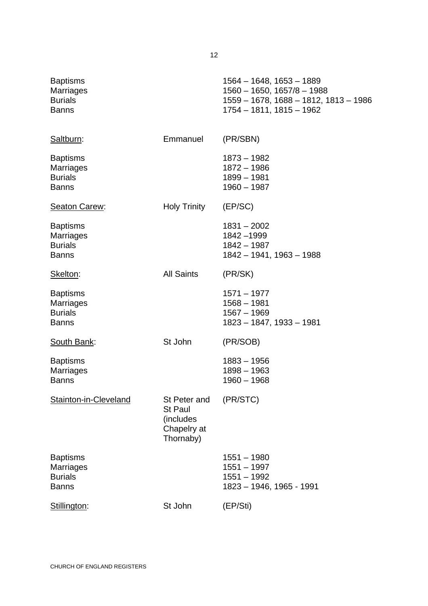| <b>Baptisms</b>                    | 1564 - 1648, 1653 - 1889                                                 |
|------------------------------------|--------------------------------------------------------------------------|
| <b>Marriages</b><br><b>Burials</b> | $1560 - 1650$ , $1657/8 - 1988$<br>1559 - 1678, 1688 - 1812, 1813 - 1986 |
| <b>Banns</b>                       | 1754 – 1811, 1815 – 1962                                                 |

| Saltburn:                                                             | Emmanuel                                                                | (PR/SBN)                                                                    |
|-----------------------------------------------------------------------|-------------------------------------------------------------------------|-----------------------------------------------------------------------------|
| <b>Baptisms</b><br><b>Marriages</b><br><b>Burials</b><br><b>Banns</b> |                                                                         | 1873 - 1982<br>1872 - 1986<br>$1899 - 1981$<br>$1960 - 1987$                |
| <b>Seaton Carew:</b>                                                  | Holy Trinity                                                            | (EP/SC)                                                                     |
| <b>Baptisms</b><br><b>Marriages</b><br><b>Burials</b><br><b>Banns</b> |                                                                         | $1831 - 2002$<br>1842 - 1999<br>1842 - 1987<br>1842 - 1941, 1963 - 1988     |
| Skelton:                                                              | <b>All Saints</b>                                                       | (PR/SK)                                                                     |
| <b>Baptisms</b><br><b>Marriages</b><br><b>Burials</b><br><b>Banns</b> |                                                                         | $1571 - 1977$<br>$1568 - 1981$<br>$1567 - 1969$<br>1823 - 1847, 1933 - 1981 |
| <b>South Bank:</b>                                                    | St John                                                                 | (PR/SOB)                                                                    |
| <b>Baptisms</b><br><b>Marriages</b><br><b>Banns</b>                   |                                                                         | $1883 - 1956$<br>$1898 - 1963$<br>$1960 - 1968$                             |
| Stainton-in-Cleveland                                                 | St Peter and<br><b>St Paul</b><br>(includes<br>Chapelry at<br>Thornaby) | (PR/STC)                                                                    |
| <b>Baptisms</b><br><b>Marriages</b><br><b>Burials</b><br><b>Banns</b> |                                                                         | 1551 - 1980<br>$1551 - 1997$<br>$1551 - 1992$<br>1823 - 1946, 1965 - 1991   |
| Stillington:                                                          | St John                                                                 | (EP/Sti)                                                                    |
|                                                                       |                                                                         |                                                                             |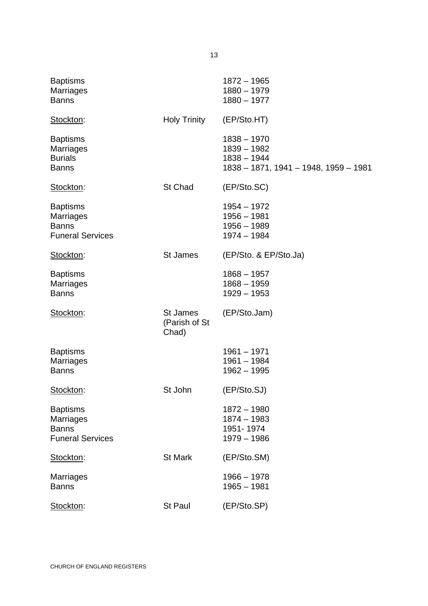| <b>Baptisms</b><br><b>Marriages</b><br><b>Banns</b>                            |                                    | $1872 - 1965$<br>$1880 - 1979$<br>$1880 - 1977$                                          |
|--------------------------------------------------------------------------------|------------------------------------|------------------------------------------------------------------------------------------|
| Stockton:                                                                      | <b>Holy Trinity</b>                | (EP/Sto.HT)                                                                              |
| <b>Baptisms</b><br><b>Marriages</b><br><b>Burials</b><br><b>Banns</b>          |                                    | $1838 - 1970$<br>$1839 - 1982$<br>$1838 - 1944$<br>1838 - 1871, 1941 - 1948, 1959 - 1981 |
| Stockton:                                                                      | St Chad                            | (EP/Sto.SC)                                                                              |
| <b>Baptisms</b><br><b>Marriages</b><br><b>Banns</b><br><b>Funeral Services</b> |                                    | $1954 - 1972$<br>$1956 - 1981$<br>$1956 - 1989$<br>$1974 - 1984$                         |
| Stockton:                                                                      | <b>St James</b>                    | (EP/Sto. & EP/Sto.Ja)                                                                    |
| <b>Baptisms</b><br><b>Marriages</b><br><b>Banns</b>                            |                                    | $1868 - 1957$<br>$1868 - 1959$<br>$1929 - 1953$                                          |
| Stockton:                                                                      | St James<br>(Parish of St<br>Chad) | (EP/Sto.Jam)                                                                             |
| <b>Baptisms</b><br><b>Marriages</b><br><b>Banns</b>                            |                                    | $1961 - 1971$<br>$1961 - 1984$<br>$1962 - 1995$                                          |
| Stockton:                                                                      | St John                            | (EP/Sto.SJ)                                                                              |
| <b>Baptisms</b><br><b>Marriages</b><br><b>Banns</b><br><b>Funeral Services</b> |                                    | $1872 - 1980$<br>$1874 - 1983$<br>1951-1974<br>$1979 - 1986$                             |
| Stockton:                                                                      | <b>St Mark</b>                     | (EP/Sto.SM)                                                                              |
| <b>Marriages</b><br><b>Banns</b>                                               |                                    | $1966 - 1978$<br>$1965 - 1981$                                                           |
| Stockton:                                                                      | St Paul                            | (EP/Sto.SP)                                                                              |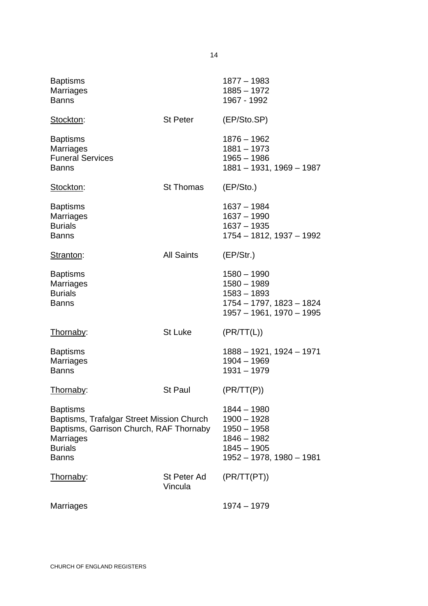| <b>Baptisms</b><br>Marriages<br><b>Banns</b>                                                                                                                  |                        | 1877 - 1983<br>$1885 - 1972$<br>1967 - 1992                                                                 |
|---------------------------------------------------------------------------------------------------------------------------------------------------------------|------------------------|-------------------------------------------------------------------------------------------------------------|
| Stockton:                                                                                                                                                     | St Peter               | (EP/Sto.SP)                                                                                                 |
| <b>Baptisms</b><br>Marriages<br><b>Funeral Services</b><br><b>Banns</b>                                                                                       |                        | 1876 - 1962<br>$1881 - 1973$<br>$1965 - 1986$<br>1881 - 1931, 1969 - 1987                                   |
| Stockton:                                                                                                                                                     | <b>St Thomas</b>       | (EP/Sto.)                                                                                                   |
| <b>Baptisms</b><br><b>Marriages</b><br><b>Burials</b><br><b>Banns</b>                                                                                         |                        | $1637 - 1984$<br>$1637 - 1990$<br>$1637 - 1935$<br>1754 - 1812, 1937 - 1992                                 |
| Stranton:                                                                                                                                                     | <b>All Saints</b>      | (EP/Str.)                                                                                                   |
| <b>Baptisms</b><br><b>Marriages</b><br><b>Burials</b><br><b>Banns</b>                                                                                         |                        | $1580 - 1990$<br>$1580 - 1989$<br>$1583 - 1893$<br>1754 - 1797, 1823 - 1824<br>1957 - 1961, 1970 - 1995     |
| Thornaby:                                                                                                                                                     | <b>St Luke</b>         | (PR/TT(L))                                                                                                  |
| <b>Baptisms</b><br>Marriages<br><b>Banns</b>                                                                                                                  |                        | 1888 - 1921, 1924 - 1971<br>$1904 - 1969$<br>$1931 - 1979$                                                  |
| Thornaby:                                                                                                                                                     | <b>St Paul</b>         | (PR/TT(P))                                                                                                  |
| <b>Baptisms</b><br>Baptisms, Trafalgar Street Mission Church<br>Baptisms, Garrison Church, RAF Thornaby<br><b>Marriages</b><br><b>Burials</b><br><b>Banns</b> |                        | 1844 - 1980<br>$1900 - 1928$<br>$1950 - 1958$<br>$1846 - 1982$<br>$1845 - 1905$<br>1952 - 1978, 1980 - 1981 |
| Thornaby:                                                                                                                                                     | St Peter Ad<br>Vincula | (PR/TT(PT))                                                                                                 |
| Marriages                                                                                                                                                     |                        | 1974 - 1979                                                                                                 |